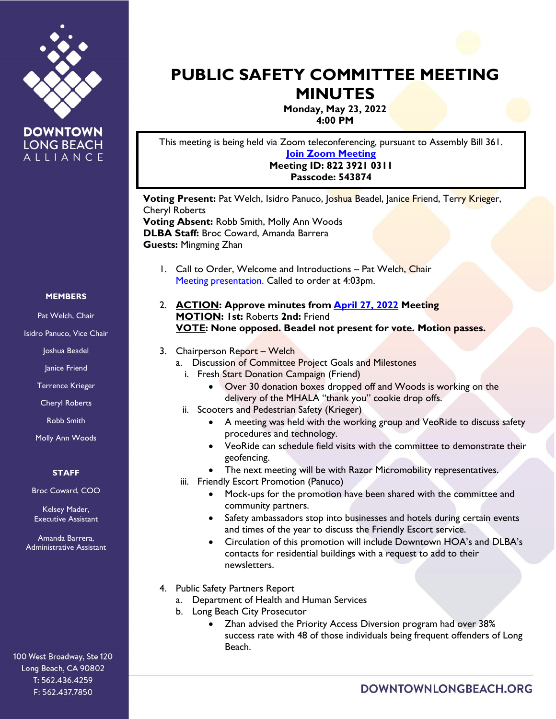

**DOWNTOWN LONG BEACH** ALLIANCE

# **PUBLIC SAFETY COMMITTEE MEETING MINUTES**

**Monday, May 23, 2022 4:00 PM**

This meeting is being held via Zoom teleconferencing, pursuant to Assembly Bill 361. **[Join Zoom Meeting](https://us02web.zoom.us/j/82239210311?pwd=Q2ZER0lsNm5jUWNWRy9uRVhSOVIzQT09) Meeting ID: 822 3921 0311 Passcode: 543874**

**Voting Present:** Pat Welch, Isidro Panuco, Joshua Beadel, Janice Friend, Terry Krieger, Cheryl Roberts **Voting Absent:** Robb Smith, Molly Ann Woods **DLBA Staff:** Broc Coward, Amanda Barrera **Guests:** Mingming Zhan

- 1. Call to Order, Welcome and Introductions Pat Welch, Chair [Meeting presentation.](https://downtownlongbeach.org/wp-content/uploads/2-Public-Safety-May-PPT-1.pdf) Called to order at 4:03pm.
- 2. **ACTION: Approve minutes from [April 27, 2022](https://downtownlongbeach.org/wp-content/uploads/Public-Safety-4.27.22-Minutes-F.pdf) Meeting MOTION: 1st:** Roberts **2nd:** Friend **VOTE: None opposed. Beadel not present for vote. Motion passes.**

# 3. Chairperson Report – Welch

- a. Discussion of Committee Project Goals and Milestones
	- i. Fresh Start Donation Campaign (Friend)
		- Over 30 donation boxes dropped off and Woods is working on the delivery of the MHALA "thank you" cookie drop offs.
	- ii. Scooters and Pedestrian Safety (Krieger)
		- A meeting was held with the working group and VeoRide to discuss safety procedures and technology.
		- VeoRide can schedule field visits with the committee to demonstrate their geofencing.
		- The next meeting will be with Razor Micromobility representatives.
	- iii. Friendly Escort Promotion (Panuco)
		- Mock-ups for the promotion have been shared with the committee and community partners.
		- Safety ambassadors stop into businesses and hotels during certain events and times of the year to discuss the Friendly Escort service.
		- Circulation of this promotion will include Downtown HOA's and DLBA's contacts for residential buildings with a request to add to their newsletters.
- 4. Public Safety Partners Report
	- a. Department of Health and Human Services
	- b. Long Beach City Prosecutor
		- Zhan advised the Priority Access Diversion program had over 38% success rate with 48 of those individuals being frequent offenders of Long Beach.

#### **MEMBERS**

Pat Welch, Chair

Isidro Panuco, Vice Chair

Joshua Beadel

Janice Friend

Terrence Krieger

Cheryl Roberts

Robb Smith

Molly Ann Woods

#### **STAFF**

Broc Coward, COO

Kelsey Mader, Executive Assistant

Amanda Barrera, Administrative Assistant

100 West Broadway, Ste 120 Long Beach, CA 90802 T: 562.436.4259 F: 562.437.7850